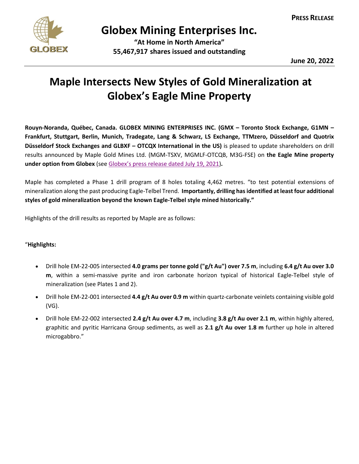

## **Globex Mining Enterprises Inc.**

**"At Home in North America" 55,467,917 shares issued and outstanding**

**June 20, 2022**

## **Maple Intersects New Styles of Gold Mineralization at Globex's Eagle Mine Property**

**Rouyn-Noranda, Québec, Canada. GLOBEX MINING ENTERPRISES INC. (GMX – Toronto Stock Exchange, G1MN – Frankfurt, Stuttgart, Berlin, Munich, Tradegate, Lang & Schwarz, LS Exchange, TTMzero, Düsseldorf and Quotrix Düsseldorf Stock Exchanges and GLBXF – OTCQX International in the US)** is pleased to update shareholders on drill results announced by Maple Gold Mines Ltd. (MGM-TSXV, MGMLF-OTCQB, M3G-FSE) on **the Eagle Mine property under option from Globex** (see Globex's [press release dated July 19, 2021\)](https://www.globexmining.com/staging/admin/news_pdfs/2021-07-19%20Globex%20Options%20Former%20Eagle%20Gold%20Mine.pdf)**.**

Maple has completed a Phase 1 drill program of 8 holes totaling 4,462 metres. "to test potential extensions of mineralization along the past producing Eagle-Telbel Trend. **Importantly, drilling has identified at least four additional styles of gold mineralization beyond the known Eagle-Telbel style mined historically."**

Highlights of the drill results as reported by Maple are as follows:

## "**Highlights:**

- Drill hole EM-22-005 intersected **4.0 grams per tonne gold ("g/t Au") over 7.5 m**, including **6.4 g/t Au over 3.0 m**, within a semi-massive pyrite and iron carbonate horizon typical of historical Eagle-Telbel style of mineralization (see Plates 1 and 2).
- Drill hole EM-22-001 intersected **4.4 g/t Au over 0.9 m** within quartz-carbonate veinlets containing visible gold (VG).
- Drill hole EM-22-002 intersected **2.4 g/t Au over 4.7 m**, including **3.8 g/t Au over 2.1 m**, within highly altered, graphitic and pyritic Harricana Group sediments, as well as **2.1 g/t Au over 1.8 m** further up hole in altered microgabbro."